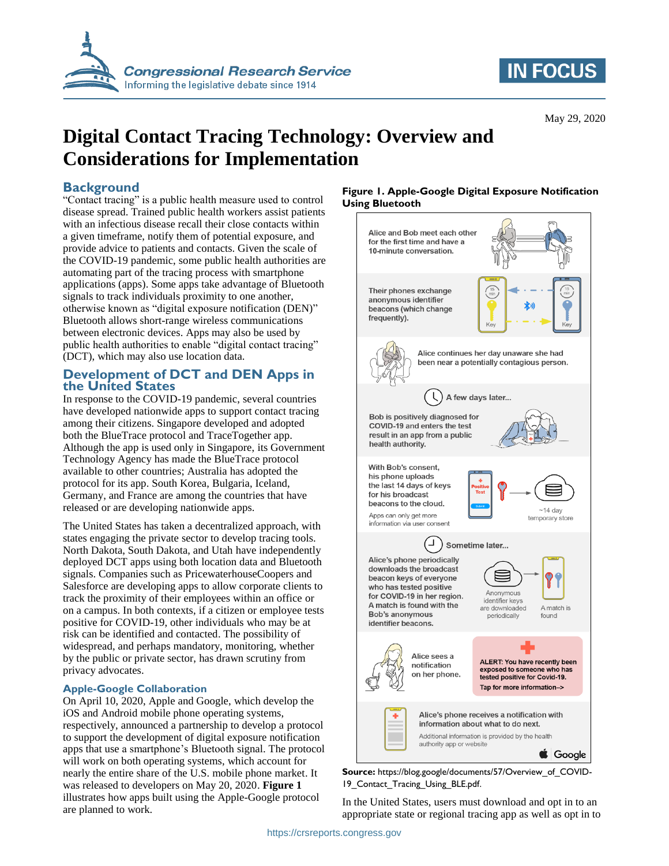

# **IN FOCUS**

May 29, 2020

# **Digital Contact Tracing Technology: Overview and Considerations for Implementation**

## **Background**

"Contact tracing" is a public health measure used to control disease spread. Trained public health workers assist patients with an infectious disease recall their close contacts within a given timeframe, notify them of potential exposure, and provide advice to patients and contacts. Given the scale of the COVID-19 pandemic, some public health authorities are automating part of the tracing process with smartphone applications (apps). Some apps take advantage of Bluetooth signals to track individuals proximity to one another, otherwise known as "digital exposure notification (DEN)" Bluetooth allows short-range wireless communications between electronic devices. Apps may also be used by public health authorities to enable "digital contact tracing" (DCT), which may also use location data.

## **Development of DCT and DEN Apps in the United States**

In response to the COVID-19 pandemic, several countries have developed nationwide apps to support contact tracing among their citizens. Singapore developed and adopted both the BlueTrace protocol and TraceTogether app. Although the app is used only in Singapore, its Government Technology Agency has made the BlueTrace protocol available to other countries; Australia has adopted the protocol for its app. South Korea, Bulgaria, Iceland, Germany, and France are among the countries that have released or are developing nationwide apps.

The United States has taken a decentralized approach, with states engaging the private sector to develop tracing tools. North Dakota, South Dakota, and Utah have independently deployed DCT apps using both location data and Bluetooth signals. Companies such as PricewaterhouseCoopers and Salesforce are developing apps to allow corporate clients to track the proximity of their employees within an office or on a campus. In both contexts, if a citizen or employee tests positive for COVID-19, other individuals who may be at risk can be identified and contacted. The possibility of widespread, and perhaps mandatory, monitoring, whether by the public or private sector, has drawn scrutiny from privacy advocates.

#### **Apple-Google Collaboration**

On April 10, 2020, Apple and Google, which develop the iOS and Android mobile phone operating systems, respectively, announced a partnership to develop a protocol to support the development of digital exposure notification apps that use a smartphone's Bluetooth signal. The protocol will work on both operating systems, which account for nearly the entire share of the U.S. mobile phone market. It was released to developers on May 20, 2020. **[Figure 1](#page-0-0)** illustrates how apps built using the Apple-Google protocol are planned to work.

#### <span id="page-0-0"></span>**Figure 1. Apple-Google Digital Exposure Notification Using Bluetooth**



**Source:** https://blog.google/documents/57/Overview\_of\_COVID-19 Contact Tracing Using BLE.pdf.

In the United States, users must download and opt in to an appropriate state or regional tracing app as well as opt in to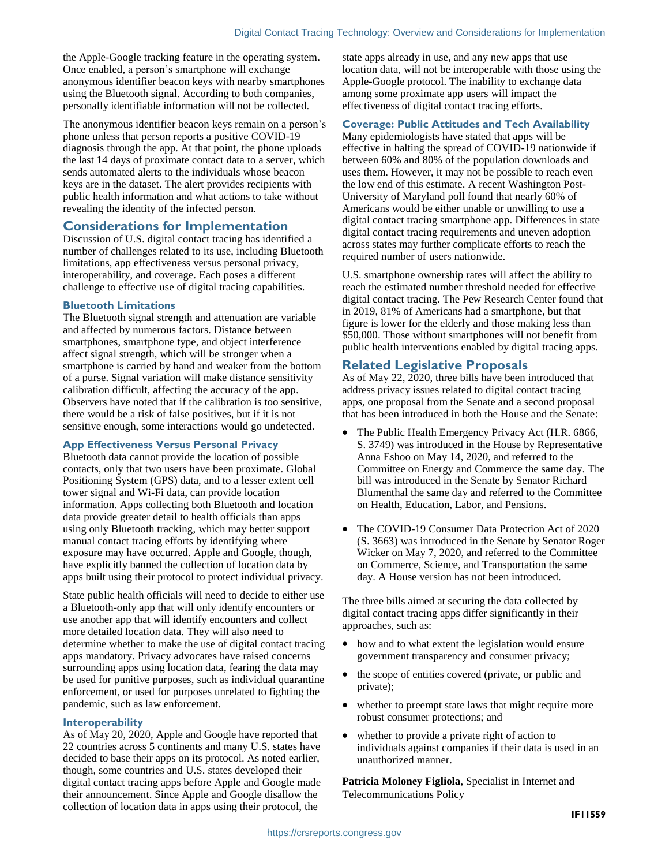the Apple-Google tracking feature in the operating system. Once enabled, a person's smartphone will exchange anonymous identifier beacon keys with nearby smartphones using the Bluetooth signal. According to both companies, personally identifiable information will not be collected.

The anonymous identifier beacon keys remain on a person's phone unless that person reports a positive COVID-19 diagnosis through the app. At that point, the phone uploads the last 14 days of proximate contact data to a server, which sends automated alerts to the individuals whose beacon keys are in the dataset. The alert provides recipients with public health information and what actions to take without revealing the identity of the infected person.

## **Considerations for Implementation**

Discussion of U.S. digital contact tracing has identified a number of challenges related to its use, including Bluetooth limitations, app effectiveness versus personal privacy, interoperability, and coverage. Each poses a different challenge to effective use of digital tracing capabilities.

#### **Bluetooth Limitations**

The Bluetooth signal strength and attenuation are variable and affected by numerous factors. Distance between smartphones, smartphone type, and object interference affect signal strength, which will be stronger when a smartphone is carried by hand and weaker from the bottom of a purse. Signal variation will make distance sensitivity calibration difficult, affecting the accuracy of the app. Observers have noted that if the calibration is too sensitive, there would be a risk of false positives, but if it is not sensitive enough, some interactions would go undetected.

#### **App Effectiveness Versus Personal Privacy**

Bluetooth data cannot provide the location of possible contacts, only that two users have been proximate. Global Positioning System (GPS) data, and to a lesser extent cell tower signal and Wi-Fi data, can provide location information. Apps collecting both Bluetooth and location data provide greater detail to health officials than apps using only Bluetooth tracking, which may better support manual contact tracing efforts by identifying where exposure may have occurred. Apple and Google, though, have explicitly banned the collection of location data by apps built using their protocol to protect individual privacy.

State public health officials will need to decide to either use a Bluetooth-only app that will only identify encounters or use another app that will identify encounters and collect more detailed location data. They will also need to determine whether to make the use of digital contact tracing apps mandatory. Privacy advocates have raised concerns surrounding apps using location data, fearing the data may be used for punitive purposes, such as individual quarantine enforcement, or used for purposes unrelated to fighting the pandemic, such as law enforcement.

#### **Interoperability**

As of May 20, 2020, Apple and Google have reported that 22 countries across 5 continents and many U.S. states have decided to base their apps on its protocol. As noted earlier, though, some countries and U.S. states developed their digital contact tracing apps before Apple and Google made their announcement. Since Apple and Google disallow the collection of location data in apps using their protocol, the

state apps already in use, and any new apps that use location data, will not be interoperable with those using the Apple-Google protocol. The inability to exchange data among some proximate app users will impact the effectiveness of digital contact tracing efforts.

#### **Coverage: Public Attitudes and Tech Availability**

Many epidemiologists have stated that apps will be effective in halting the spread of COVID-19 nationwide if between 60% and 80% of the population downloads and uses them. However, it may not be possible to reach even the low end of this estimate. A recent Washington Post-University of Maryland poll found that nearly 60% of Americans would be either unable or unwilling to use a digital contact tracing smartphone app. Differences in state digital contact tracing requirements and uneven adoption across states may further complicate efforts to reach the required number of users nationwide.

U.S. smartphone ownership rates will affect the ability to reach the estimated number threshold needed for effective digital contact tracing. The Pew Research Center found that in 2019, 81% of Americans had a smartphone, but that figure is lower for the elderly and those making less than \$50,000. Those without smartphones will not benefit from public health interventions enabled by digital tracing apps.

### **Related Legislative Proposals**

As of May 22, 2020, three bills have been introduced that address privacy issues related to digital contact tracing apps, one proposal from the Senate and a second proposal that has been introduced in both the House and the Senate:

- The Public Health Emergency Privacy Act (H.R. 6866, S. 3749) was introduced in the House by Representative Anna Eshoo on May 14, 2020, and referred to the Committee on Energy and Commerce the same day. The bill was introduced in the Senate by Senator Richard Blumenthal the same day and referred to the Committee on Health, Education, Labor, and Pensions.
- The COVID-19 Consumer Data Protection Act of 2020 (S. 3663) was introduced in the Senate by Senator Roger Wicker on May 7, 2020, and referred to the Committee on Commerce, Science, and Transportation the same day. A House version has not been introduced.

The three bills aimed at securing the data collected by digital contact tracing apps differ significantly in their approaches, such as:

- how and to what extent the legislation would ensure government transparency and consumer privacy;
- the scope of entities covered (private, or public and private);
- whether to preempt state laws that might require more robust consumer protections; and
- whether to provide a private right of action to individuals against companies if their data is used in an unauthorized manner.

**Patricia Moloney Figliola**, Specialist in Internet and Telecommunications Policy